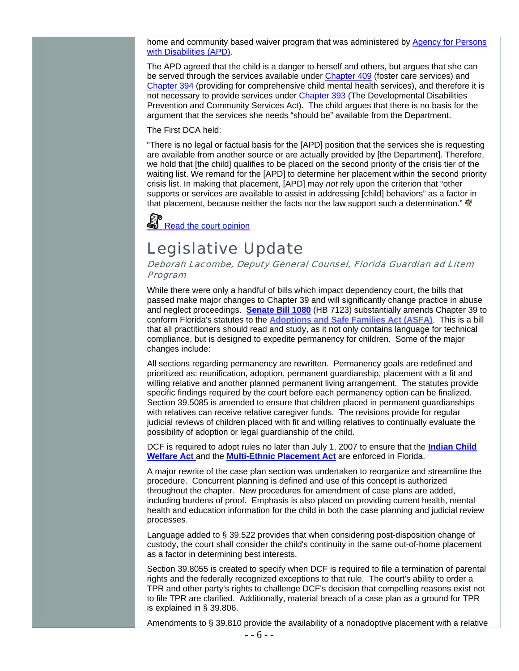home and community based waiver program that was administered by [Agency for Persons](http://apd.myflorida.com/)  [with Disabilities \(APD\).](http://apd.myflorida.com/)

The APD agreed that the child is a danger to herself and others, but argues that she can be served through the services available under [Chapter 409](http://www.flsenate.gov/Statutes/index.cfm?App_mode=Display_Statute&URL=Ch0409/titl0409.htm&StatuteYear=2005&Title=%2D%3E2005%2D%3EChapter%20409) (foster care services) and [Chapter 394](http://www.flsenate.gov/Statutes/index.cfm?App_mode=Display_Statute&URL=Ch0409/titl0409.htm&StatuteYear=2005&Title=%2D%3E2005%2D%3EChapter%20409) (providing for comprehensive child mental health services), and therefore it is not necessary to provide services under[Chapter 393](http://www.flsenate.gov/Statutes/index.cfm?App_mode=Display_Statute&URL=Ch0394/titl0394.htm&StatuteYear=2005&Title=%2D%3E2005%2D%3EChapter%20394)(The Developmental Disabilities Prevention and Community Services Act). The child argues that there is no basis for the argument that the services she needs "should be" available from the Department.

The First DCA held:

"There is no legal or factual basis for the [APD] position that the services she is requesting are available from another source or are actually provided by [the Department]. Therefore, we hold that [the child] qualifies to be placed on the second priority of the crisis tier of the waiting list. We remand for the [APD] to determine her placement within the second priority crisis list. In making that placement, [APD] may *not* rely upon the criterion that "other supports or services are available to assist in addressing [child] behaviors" as a factor in that placement, because neither the facts nor the law support such a determination."  $\mathbf{\Phi}$ 

Read the court opinion

## Legislative Update

Deborah Lacombe, Deputy General Counsel, Florida Guardian ad Litem Program

While there were only a handful of bills which impact dependency court, the bills that passed make major changes to Chapter 39 and will significantly change practice in abuse and neglect proceedings. **[Senate Bill 1080](http://www.flsenate.gov/session/index.cfm?BI_Mode=ViewBillInfo&Mode=Bills&SubMenu=1&Year=2006&billnum=1080)** (HB 7123) substantially amends Chapter 39 to conform Florida's statutes to the *[Adoptions and Safe Families Act \(ASFA\)](http://www.acf.hhs.gov/programs/cb/laws_policies/cblaws/public_law/pl105_89/pl105_89.htm)*. This is a bill that all practitioners should read and study, as it not only contains language for technical compliance, but is designed to expedite permanency for children. Some of the major changes include:

All sections regarding permanency are rewritten. Permanency goals are redefined and prioritized as: reun ification, adoption, permanent guardianship, placement with a fit and willing relative and another planned permanent living arrangement. The statutes provide specific findings required by the court before each permanency option can be finalized. Section 39.5085 is amended to ensure that children placed in permanent guardianships with relatives can receive relative caregiver funds. The revisions provide for regular judicial reviews of children placed with fit and willing relatives to continually evaluate the possibility of adoption or legal guardianship of the child.

DCF is required to adopt rules no later than July 1, 2007 to ensure that the **[Indian Child](http://www.nicwa.org/policy/law/icwa/ICWA.pdf) [Welfare Act](http://www.nicwa.org/policy/law/icwa/ICWA.pdf)** and the **[Multi-Ethnic Placement Act](http://nccanch.acf.hhs.gov/general/legal/federal/pl103_382.cfm)** are enforced in Florida.

procedure. Concurrent planning is defined and use of this concept is authorized including burdens of proof. Emphasis is also placed on providing current health, mental health and education information for the child in both the case planning and judicial review A major rewrite of the case plan section was undertaken to reorganize and streamline the throughout the chapter. New procedures for amendment of case plans are added, processes.

custody, the court shall consider the child's continuity in the same out-of-home placement Language added to § 39.522 provides that when considering post-disposition change of as a factor in determining best interests.

rights and the federally recognized exceptions to that rule. The court's ability to order a Section 39.8055 is created to specify when DCF is required to file a termination of parental TPR and other party's rights to challenge DCF's decision that compelling reasons exist not to file TPR are clarified. Additionally, material breach of a case plan as a ground for TPR is explained in § 39.806.

Amendments to § 39.810 provide the availability of a nonadoptive placement with a relative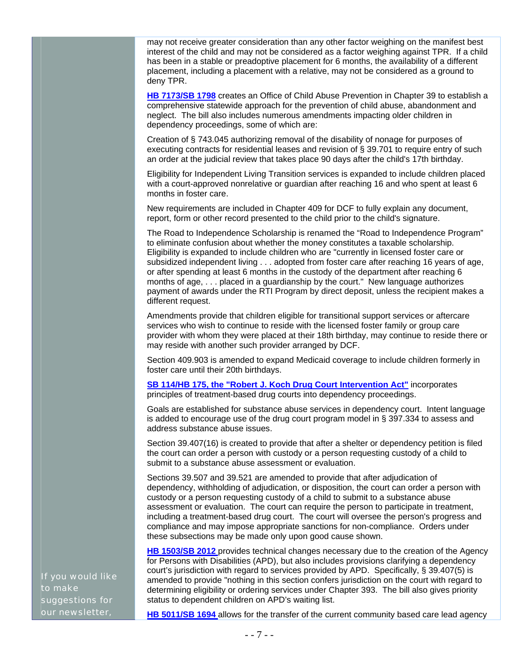may not receive greater consideration than any other factor weighing on the manifest best interest of the child and may not be considered as a factor weighing against TPR. If a child has been in a stable or preadoptive placement for 6 months, the availability of a different placement, including a placement with a relative, may not be considered as a ground to deny TPR.

**[HB 7173/SB 1798](http://www.flsenate.gov/session/index.cfm?BI_Mode=ViewBillInfo&Mode=Bills&SubMenu=1&Year=2006&billnum=7173)** creates an Office of Child Abuse Prevention in Chapter 39 to establish a comprehensive statewide approach for the prevention of child abuse, abandonment and neglect. The bill also includes numerous amendments impacting older children in dependency proceedings, some of which are:

Creation of § 743.045 authorizing removal of the disability of nonage for purposes of executing contracts for residential leases and revision of § 39.701 to require entry of such an order at the judicial review that takes place 90 days after the child's 17th birthday.

with a court-approved nonrelative or guardian after reaching 16 and who spent at least 6 Eligibility for Independent Living Transition services is expanded to include children placed months in foster care.

report, form or other record presented to the child prior to the child's signature. New requirements are included in Chapter 409 for DCF to fully explain any document,

The Road to Independence Scholarship is renamed the "Road to Independence Program" to eliminate confusion about whether the money constitutes a taxable scholarship. Eligibility is expanded to include children who are "currently in licensed foster care or subsidized independent living . . . adopted from foster care after reaching 16 years of age, or after spending at least 6 months in the custody of the department after reaching 6 months of age, . . . placed in a guardianship by the court." New language authorizes payment of awards under the RTI Program by direct deposit, unless the recipient makes a different request.

services who wish to continue to reside with the licensed foster family or group care provider with whom they were placed at their 18th birthday, may continue to reside there or Amendments provide that children eligible for transitional support services or aftercare may reside with another such provider arranged by DCF.

Section 409.903 is amended to expand Medicaid coverage to include children formerly in foster care until their 20th birthdays.

**[SB 114/HB 175, the "Robert J. Koch Drug Court Intervention Act"](http://www.flsenate.gov/session/index.cfm?BI_Mode=ViewBillInfo&Mode=Bills&SubMenu=1&Year=2006&billnum=114)** incorporates principles of treatment-based drug courts into dependency proceedings.

Goals are established for substance abuse services in dependency court. Intent language is added to encourage use of the drug court program model in  $\S$  397.334 to assess and address substance abuse issues.

the court can order a person with custody or a person requesting custody of a child to Section 39.407(16) is created to provide that after a shelter or dependency petition is filed submit to a substance abuse assessment or evaluation.

dependency, withholding of adjudication, or disposition, the court can order a person with custody or a person requesting custody of a child to submit to a substance abuse Sections 39.507 and 39.521 are amended to provide that after adjudication of assessment or evaluation. The court can require the person to participate in treatment, including a treatment-based drug court. The court will oversee the person's progress and compliance and may impose appropriate sanctions for non-compliance. Orders under these subsections may be made only upon good cause shown.

[HB 1503/SB 2012](http://www.flsenate.gov/session/index.cfm?BI_Mode=ViewBillInfo&Mode=Bills&SubMenu=1&Year=2006&billnum=1503) provides technical changes necessary due to the creation of the Agency for Persons with Disabilities (APD), but also includes provisions clarifying a dependency court's jurisdiction with regard to services provided by APD. Specifically, § 39.407(5) is amended to provide "nothing in this section confers jurisdiction on the court with regard to determining eligibility or ordering services under Chapter 393. The bill also gives priority status to dependent children on APD's waiting list.

If you would like to make suggestions for our newsletter,

**[HB 5011/SB 1694](http://www.flsenate.gov/session/index.cfm?BI_Mode=ViewBillInfo&Mode=Bills&SubMenu=1&Year=2006&billnum=1503)** allows for the transfer of the current community based care lead agency